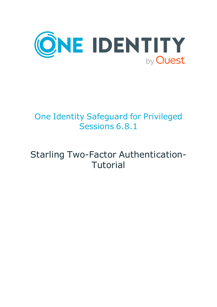

# One Identity Safeguard for Privileged Sessions 6.8.1

# Starling Two-Factor Authentication-Tutorial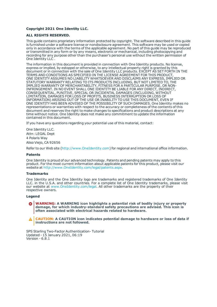#### **Copyright 2021 One Identity LLC.**

#### **ALL RIGHTS RESERVED.**

This guide contains proprietary information protected by copyright. The software described in this guide is furnished under a software license or nondisclosure agreement. This software may be used or copied only in accordance with the terms of the applicable agreement. No part of this guide may be reproduced or transmitted in any form or by any means, electronic or mechanical, including photocopying and recording for any purpose other than the purchaser's personal use without the written permission of One Identity LLC .

The information in this document is provided in connection with One Identity products. No license, express or implied, by estoppel or otherwise, to any intellectual property right is granted by this document or in connection with the sale of One Identity LLC products. EXCEPT AS SET FORTH IN THE TERMS AND CONDITIONS AS SPECIFIED IN THE LICENSE AGREEMENT FOR THIS PRODUCT, ONE IDENTITY ASSUMES NO LIABILITY WHATSOEVER AND DISCLAIMS ANY EXPRESS, IMPLIED OR STATUTORY WARRANTY RELATING TO ITS PRODUCTS INCLUDING, BUT NOT LIMITED TO, THE IMPLIED WARRANTY OF MERCHANTABILITY, FITNESS FOR A PARTICULAR PURPOSE, OR NON-INFRINGEMENT. IN NO EVENT SHALL ONE IDENTITY BE LIABLE FOR ANY DIRECT, INDIRECT, CONSEQUENTIAL, PUNITIVE, SPECIAL OR INCIDENTAL DAMAGES (INCLUDING, WITHOUT LIMITATION, DAMAGES FOR LOSS OF PROFITS, BUSINESS INTERRUPTION OR LOSS OF INFORMATION) ARISING OUT OF THE USE OR INABILITY TO USE THIS DOCUMENT, EVEN IF ONE IDENTITY HAS BEEN ADVISED OF THE POSSIBILITY OF SUCH DAMAGES. One Identity makes no representations or warranties with respect to the accuracy or completeness of the contents of this document and reserves the right to make changes to specifications and product descriptions at any time without notice. One Identity does not make any commitment to update the information contained in this document.

If you have any questions regarding your potential use of this material, contact:

One Identity LLC. Attn: LEGAL Dept 4 Polaris Way Aliso Viejo, CA 92656

Refer to our Web site ([http://www.OneIdentity.com](http://www.oneidentity.com/)) for regional and international office information.

#### **Patents**

One Identity is proud of our advanced technology. Patents and pending patents may apply to this product. For the most current information about applicable patents for this product, please visit our website at [http://www.OneIdentity.com/legal/patents.aspx](http://www.oneidentity.com/legal/patents.aspx).

#### **Trademarks**

One Identity and the One Identity logo are trademarks and registered trademarks of One Identity LLC. in the U.S.A. and other countries. For a complete list of One Identity trademarks, please visit our website at [www.OneIdentity.com/legal](http://www.oneidentity.com/legal). All other trademarks are the property of their respective owners.

#### **Legend**

**WARNING: A WARNING icon highlights a potential risk of bodily injury or property damage, for which industry-standard safety precautions are advised. This icon is often associated with electrical hazards related to hardware.**

**CAUTION: A CAUTION icon indicates potential damage to hardware or loss of data if** A **instructions are not followed.**

SPS Starling Two-Factor Authentication- Tutorial Updated - 15 January 2021, 06:19 Version - 6.8.1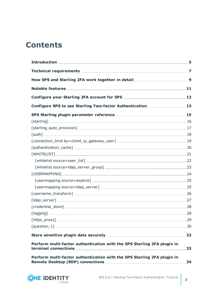### **Contents**

| Configure SPS to use Starling Two-factor Authentication 13              |     |
|-------------------------------------------------------------------------|-----|
|                                                                         |     |
|                                                                         |     |
|                                                                         |     |
|                                                                         |     |
|                                                                         |     |
|                                                                         |     |
|                                                                         |     |
|                                                                         |     |
|                                                                         |     |
|                                                                         |     |
|                                                                         |     |
|                                                                         |     |
|                                                                         |     |
|                                                                         |     |
|                                                                         |     |
|                                                                         |     |
|                                                                         |     |
|                                                                         |     |
|                                                                         |     |
| Perform multi-factor authentication with the SPS Starling 2FA plugin in | .33 |
| Perform multi-factor authentication with the SPS Starling 2FA plugin in |     |

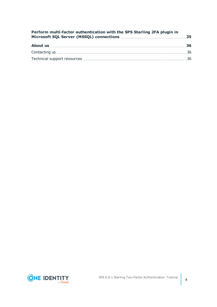| Perform multi-factor authentication with the SPS Starling 2FA plugin in |  |
|-------------------------------------------------------------------------|--|
|                                                                         |  |
|                                                                         |  |
|                                                                         |  |

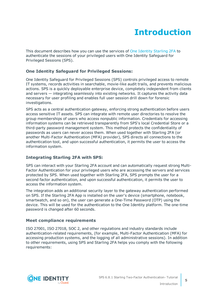# **Introduction**

<span id="page-4-0"></span>This document describes how you can use the services of One Identity [Starling](https://www.oneidentity.com/) 2FA to authenticate the sessions of your privileged users with One Identity Safeguard for Privileged Sessions (SPS).

#### **One Identity Safeguard for Privileged Sessions:**

One Identity Safeguard for Privileged Sessions (SPS) controls privileged access to remote IT systems, records activities in searchable, movie-like audit trails, and prevents malicious actions. SPS is a quickly deployable enterprise device, completely independent from clients and servers — integrating seamlessly into existing networks. It captures the activity data necessary for user profiling and enables full user session drill down for forensic investigations.

SPS acts as a central authentication gateway, enforcing strong authentication before users access sensitive IT assets. SPS can integrate with remote user directories to resolve the group memberships of users who access nonpublic information. Credentials for accessing information systems can be retrieved transparently from SPS's local Credential Store or a third-party password management system. This method protects the confidentiality of passwords as users can never access them. When used together with Starling 2FA (or another Multi-Factor Authentication (MFA) provider), SPS directs all connections to the authentication tool, and upon successful authentication, it permits the user to access the information system.

#### **Integrating Starling 2FA with SPS:**

SPS can interact with your Starling 2FA account and can automatically request strong Multi-Factor Authentication for your privileged users who are accessing the servers and services protected by SPS. When used together with Starling 2FA, SPS prompts the user for a second factor authentication, and upon successful authentication, it permits the user to access the information system.

The integration adds an additional security layer to the gateway authentication performed on SPS. If the Starling 2FA App is installed on the user's device (smartphone, notebook, smartwatch, and so on), the user can generate a One-Time Password (OTP) using the device. This will be used for the authentication to the One Identity platform. The one-time password is changed after 60 seconds.

#### **Meet compliance requirements**

ISO 27001, ISO 27018, SOC 2, and other regulations and industry standards include authentication-related requirements, (for example, Multi-Factor Authentication (MFA) for accessing production systems, and the logging of all administrative sessions). In addition to other requirements, using SPS and Starling 2FA helps you comply with the following requirements:

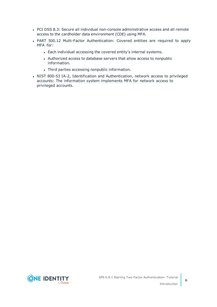- PCI DSS 8.3: Secure all individual non-console administrative access and all remote access to the cardholder data environment (CDE) using MFA.
- PART 500.12 Multi-Factor Authentication: Covered entities are required to apply MFA for:
	- Each individual accessing the covered entity's internal systems.
	- Authorized access to database servers that allow access to nonpublic information.
	- Third parties accessing nonpublic information.
- NIST 800-53 IA-2, Identification and Authentication, network access to privileged accounts: The information system implements MFA for network access to privileged accounts.

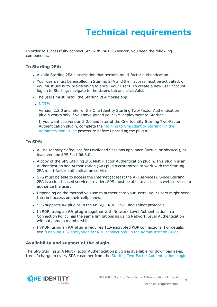# **Technical requirements**

<span id="page-6-0"></span>In order to successfully connect SPS with RADIUS server, you need the following components.

#### **In Starling 2FA:**

- A valid Starling 2FA subscription that permits multi-factor authentication.
- Your users must be enrolled in Starling 2FA and their access must be activated, or you must use auto-provisioning to enroll your users. To create a new user account, log on to Starling, navigate to the **Users** tab and click **Add**.
- The users must install the Starling 2FA Mobile app.
- $\bullet$  NOTE:

Version 2.2.0 and later of the One Identity Starling Two-Factor Authentication plugin works only if you have joined your SPS deployment to Starling.

If you want use version 2.2.0 and later of the One Identity Starling Two-Factor Authentication plugin, complete the "Joining to One Identity [Starling"](https://support.oneidentity.com/technical-documents/safeguard-for-privileged-sessions/6.8.1/administration-guide/basic-settings/joining-to-one-identity-starling/) in the [Administration](https://support.oneidentity.com/technical-documents/safeguard-for-privileged-sessions/6.8.1/administration-guide/basic-settings/joining-to-one-identity-starling/) Guide procedure before upgrading the plugin.

#### **In SPS:**

- A One Identity Safeguard for Privileged Sessions appliance (virtual or physical), at least version SPS 5.11.06.3.0.
- A copy of the SPS Starling 2FA Multi-Factor Authentication plugin. This plugin is an Authentication and Authorization (AA) plugin customized to work with the Starling 2FA multi-factor authentication service.
- SPS must be able to access the Internet (at least the API services). Since Starling 2FA is a cloud-based service provider, SPS must be able to access its web services to authorize the user.
- Depending on the method you use to authenticate your users, your users might need Internet access on their cellphones.
- SPS supports AA plugins in the MSSQL, RDP, SSH, and Telnet protocols.
- In RDP, using an AA plugin together with Network Level Authentication in a Connection Policy has the same limitations as using Network Level Authentication without domain membership.
- <sup>l</sup> In RDP, using an **AA plugin** requires TLS-encrypted RDP connections. For details, see "Enabling [TLS-encryption](https://support.oneidentity.com/technical-documents/safeguard-for-privileged-sessions/6.8.1/administration-guide/rdp-specific-settings/enabling-tls-encryption-for-rdp-connections/) for RDP connections" in the Administration Guide.

#### **Availability and support of the plugin**

The SPS Starling 2FA Multi-Factor Authentication plugin is available for download as-is, free of charge to every SPS customer from the Starling Two-Factor [Authentication](https://github.com/OneIdentity/safeguard-sessions-plugin-starling-2fa/releases) plugin

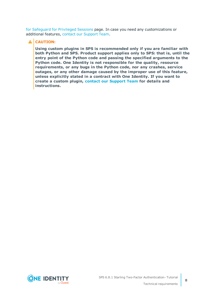for [Safeguard](https://github.com/OneIdentity/safeguard-sessions-plugin-starling-2fa/releases) for Privileged Sessions page. In case you need any customizations or additional features, contact our [Support](https://support.oneidentity.com/one-identity-safeguard-for-privileged-sessions) Team.

#### **A** CAUTION:

**Using custom plugins in SPS is recommended only if you are familiar with both Python and SPS. Product support applies only to SPS: that is, until the entry point of the Python code and passing the specified arguments to the Python code. One Identity is not responsible for the quality, resource requirements, or any bugs in the Python code, nor any crashes, service outages, or any other damage caused by the improper use of this feature, unless explicitly stated in a contract with One Identity. If you want to create a custom plugin, contact our [Support](https://support.oneidentity.com/one-identity-safeguard-for-privileged-sessions) Team for details and instructions.**

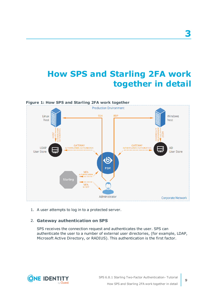## <span id="page-8-0"></span>**How SPS and Starling 2FA work together in detail**



1. A user attempts to log in to a protected server.

#### 2. **Gateway authentication on SPS**

SPS receives the connection request and authenticates the user. SPS can authenticate the user to a number of external user directories, (for example, LDAP, Microsoft Active Directory, or RADIUS). This authentication is the first factor.

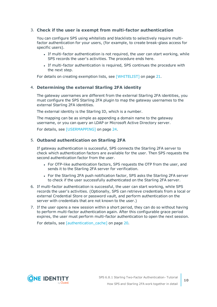#### 3. **Check if the user is exempt from multi-factor authentication**

You can configure SPS using whitelists and blacklists to selectively require multifactor authentication for your users, (for example, to create break-glass access for specific users).

- If multi-factor authentication is not required, the user can start working, while SPS records the user's activities. The procedure ends here.
- If multi-factor authentication is required, SPS continues the procedure with the next step.

For details on creating exemption lists, see [\[WHITELIST\]](#page-20-0) on page 21.

#### 4. **Determining the external Starling 2FA identity**

The gateway usernames are different from the external Starling 2FA identities, you must configure the SPS Starling 2FA plugin to map the gateway usernames to the external Starling 2FA identities.

The external identity is the Starling ID, which is a number.

The mapping can be as simple as appending a domain name to the gateway username, or you can query an LDAP or Microsoft Active Directory server.

For details, see [\[USERMAPPING\]](#page-23-0) on page 24.

#### 5. **Outband authentication on Starling 2FA**

If gateway authentication is successful, SPS connects the Starling 2FA server to check which authentication factors are available for the user. Then SPS requests the second authentication factor from the user.

- For OTP-like authentication factors, SPS requests the OTP from the user, and sends it to the Starling 2FA server for verification.
- For the Starling 2FA push notification factor, SPS asks the Starling 2FA server to check if the user successfully authenticated on the Starling 2FA server.
- 6. If multi-factor authentication is successful, the user can start working, while SPS records the user's activities. (Optionally, SPS can retrieve credentials from a local or external Credential Store or password vault, and perform authentication on the server with credentials that are not known to the user.)
- 7. If the user opens a new session within a short period, they can do so without having to perform multi-factor authentication again. After this configurable grace period expires, the user must perform multi-factor authentication to open the next session.

For details, see [authentication cache] on page 20.

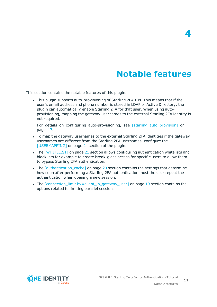### **Notable features**

<span id="page-10-0"></span>This section contains the notable features of this plugin.

<sup>l</sup> This plugin supports auto-provisioning of Starling 2FA IDs. This means that if the user's email address and phone number is stored in LDAP or Active Directory, the plugin can automatically enable Starling 2FA for that user. When using autoprovisioning, mapping the gateway usernames to the external Starling 2FA identity is not required.

For details on configuring auto-provisioning, see [\[starling\\_auto\\_provision\]](#page-16-0) on [page](#page-16-0) 17.

- To map the gateway usernames to the external Starling 2FA identities if the gateway usernames are different from the Starling 2FA usernames, configure the [\[USERMAPPING\]](#page-23-0) on page 24 section of the plugin.
- The [\[WHITELIST\]](#page-20-0) on page 21 section allows configuring authentication whitelists and blacklists for example to create break-glass access for specific users to allow them to bypass Starling 2FA authentication.
- The [\[authentication\\_cache\]](#page-19-0) on page 20 section contains the settings that determine how soon after performing a Starling 2FA authentication must the user repeat the authentication when opening a new session.
- The [connection\_limit [by=client\\_ip\\_gateway\\_user\]](#page-18-0) on page 19 section contains the options related to limiting parallel sessions.

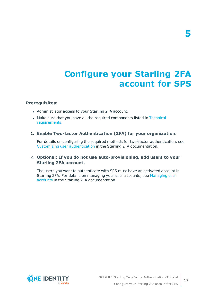# <span id="page-11-0"></span>**Configure your Starling 2FA account for SPS**

#### **Prerequisites:**

- Administrator access to your Starling 2FA account.
- Make sure that you have all the required components listed in [Technical](#page-6-0) [requirements](#page-6-0).

#### 1. **Enable Two-factor Authentication (2FA) for your organization.**

For details on configuring the required methods for two-factor authentication, see Customizing user [authentication](https://support.oneidentity.com/technical-documents/starling-two-factor-authentication/hosted/starling-two-factor-authentication-administration-guide/3#TOPIC-678621) in the Starling 2FA documentation.

#### 2. **Optional: If you do not use auto-provisioning, add users to your Starling 2FA account.**

The users you want to authenticate with SPS must have an activated account in Starling 2FA. For details on managing your user accounts, see [Managing](https://support.oneidentity.com/technical-documents/starling-two-factor-authentication/hosted/starling-two-factor-authentication-administration-guide/3#TOPIC-678619) user [accounts](https://support.oneidentity.com/technical-documents/starling-two-factor-authentication/hosted/starling-two-factor-authentication-administration-guide/3#TOPIC-678619) in the Starling 2FA documentation.

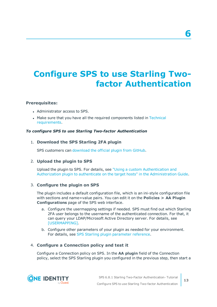# <span id="page-12-0"></span>**Configure SPS to use Starling Twofactor Authentication**

#### **Prerequisites:**

- Administrator access to SPS.
- Make sure that you have all the required components listed in [Technical](#page-6-0) [requirements](#page-6-0).

#### *To configure SPS to use Starling Two-factor Authentication*

#### 1. **Download the SPS Starling 2FA plugin**

SPS customers can [download](https://github.com/OneIdentity/safeguard-sessions-plugin-starling-2fa/releases) the official plugin from GitHub.

#### 2. **Upload the plugin to SPS**

Upload the plugin to SPS. For details, see "Using a custom [Authentication](https://support.oneidentity.com/technical-documents/safeguard-for-privileged-sessions/6.8.1/administration-guide/advanced-authentication-and-authorization-techniques/integrating-external-authentication-and-authorization-systems/using-a-custom-authentication-and-authorization-plugin-to-authenticate-on-the-target-hosts/) and Authorization plugin to authenticate on the target hosts" in the [Administration](https://support.oneidentity.com/technical-documents/safeguard-for-privileged-sessions/6.8.1/administration-guide/advanced-authentication-and-authorization-techniques/integrating-external-authentication-and-authorization-systems/using-a-custom-authentication-and-authorization-plugin-to-authenticate-on-the-target-hosts/) Guide.

#### 3. **Configure the plugin on SPS**

The plugin includes a default configuration file, which is an ini-style configuration file with sections and name=value pairs. You can edit it on the **Policies > AA Plugin Configurations** page of the SPS web interface.

- a. Configure the usermapping settings if needed. SPS must find out which Starling 2FA user belongs to the username of the authenticated connection. For that, it can query your LDAP/Microsoft Active Directory server. For details, see [\[USERMAPPING\].](#page-23-0)
- b. Configure other parameters of your plugin as needed for your environment. For details, see SPS Starling plugin [parameter](#page-14-0) reference.

#### 4. **Configure a Connection policy and test it**

Configure a Connection policy on SPS. In the **AA plugin** field of the Connection policy, select the SPS Starling plugin you configured in the previous step, then start a



**13**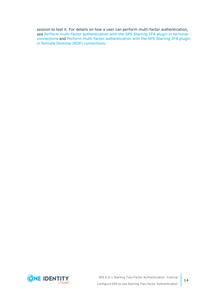session to test it. For details on how a user can perform multi-factor authentication, see Perform multi-factor [authentication](#page-32-0) with the SPS Starling 2FA plugin in terminal [connections](#page-32-0) and Perform multi-factor [authentication](#page-33-0) with the SPS Starling 2FA plugin in Remote Desktop (RDP) [connections.](#page-33-0)

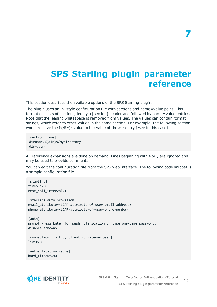## <span id="page-14-0"></span>**SPS Starling plugin parameter reference**

This section describes the available options of the SPS Starling plugin.

The plugin uses an ini-style configuration file with sections and name=value pairs. This format consists of sections, led by a [section] header and followed by name=value entries. Note that the leading whitespace is removed from values. The values can contain format strings, which refer to other values in the same section. For example, the following section would resolve the %(dir)s value to the value of the dir entry (/var in this case).

[section name] dirname=%(dir)s/mydirectory dir=/var

All reference expansions are done on demand. Lines beginning with # or ; are ignored and may be used to provide comments.

You can edit the configuration file from the SPS web interface. The following code snippet is a sample configuration file.

```
[starling]
timeout=60
rest_poll_interval=1
[starling_auto_provision]
email_attribute=<LDAP-attribute-of-user-email-address>
phone_attribute=<LDAP-attribute-of-user-phone-number>
[auth]
prompt=Press Enter for push notification or type one-time password:
disable_echo=no
[connection_limit by=client_ip_gateway_user]
limit=0
```

```
[authentication_cache]
hard timeout=90
```
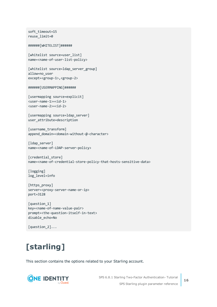```
soft_timeout=15
reuse_limit=0
######[WHITELIST]######
[whitelist source=user list]
name=<name-of-user-list-policy>
[whitelist source=ldap_server_group]
allow=no_user
except=<group-1>,<group-2>
######[USERMAPPING]######
[usermapping source=explicit]
<user-name-1>=<id-1>
<user-name-2>=<id-2>
[usermapping source=ldap server]
user_attribute=description
[username_transform]
append domain=<domain-without-@-character>
[ldap server]
name=<name-of-LDAP-server-policy>
[credential_store]
name=<name-of-credential-store-policy-that-hosts-sensitive-data>
[logging]
log_level=info
[https_proxy]
server=<proxy-server-name-or-ip>
port=3128
[question_1]
key=<name-of-name-value-pair>
prompt=<the-question-itself-in-text>
disable_echo=No
```

```
[question_2]...
```
# <span id="page-15-0"></span>**[starling]**

This section contains the options related to your Starling account.



SPS 6.8.1 Starling Two-Factor Authentication- Tutorial SPS Starling plugin parameter reference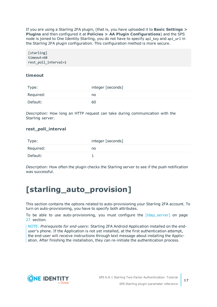If you are using a Starling 2FA plugin, (that is, you have uploaded it to **Basic Settings > Plugins** and then configured it at **Policies > AA Plugin Configurations**) and the SPS node is joined to One Identity Starling, you do not have to specify api\_key and api\_url in the Starling 2FA plugin configuration. This configuration method is more secure.

[starling] timeout=60 rest\_poll\_interval=1

#### **timeout**

| Type:     | integer [seconds] |
|-----------|-------------------|
| Required: | no                |
| Default:  | 60                |

*Description:* How long an HTTP request can take during communication with the Starling server.

#### **rest\_poll\_interval**

| Type:     | integer [seconds] |
|-----------|-------------------|
| Required: | no                |
| Default:  |                   |

*Description:* How often the plugin checks the Starling server to see if the push notification was successful.

### <span id="page-16-0"></span>**[starling\_auto\_provision]**

This section contains the options related to auto-provisioning your Starling 2FA account. To turn on auto-provisioning, you have to specify both attributes.

To be able to use auto-provisioning, you must configure the [\[ldap\\_server\]](#page-26-0) on page [27](#page-26-0) section.

NOTE: *Prerequisite for end-users*: Starling 2FA Android Application installed on the enduser's phone. If the Application is not yet installed, at the first authentication attempt, the end-user will receive instructions through text message about installing the Application. After finishing the installation, they can re-initiate the authentication process.

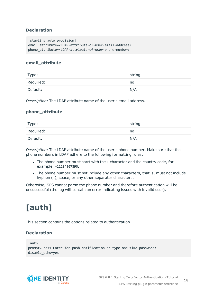#### **Declaration**

```
[starling auto provision]
email_attribute=<LDAP-attribute-of-user-email-address>
phone_attribute=<LDAP-attribute-of-user-phone-number>
```
#### **email\_attribute**

| Type:     | string |
|-----------|--------|
| Required: | no     |
| Default:  | N/A    |

*Description:* The LDAP attribute name of the user's email address.

#### **phone\_attribute**

| Type:     | string |
|-----------|--------|
| Required: | no     |
| Default:  | N/A    |

*Description:* The LDAP attribute name of the user's phone number. Make sure that the phone numbers in LDAP adhere to the following formatting rules:

- The phone number must start with the + character and the country code, for example, +11234567890.
- The phone number must not include any other characters, that is, must not include hyphen (-), space, or any other separator characters.

Otherwise, SPS cannot parse the phone number and therefore authentication will be unsuccessful (the log will contain an error indicating issues with invalid user).

# <span id="page-17-0"></span>**[auth]**

This section contains the options related to authentication.

#### **Declaration**

```
[auth]
prompt=Press Enter for push notification or type one-time password:
disable_echo=yes
```
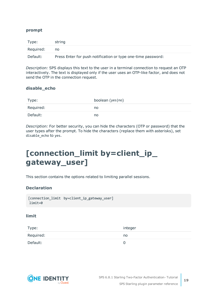#### **prompt**

| Type:     | string                                                       |
|-----------|--------------------------------------------------------------|
| Required: | no                                                           |
| Default:  | Press Enter for push notification or type one-time password: |

*Description:* SPS displays this text to the user in a terminal connection to request an OTP interactively. The text is displayed only if the user uses an OTP-like factor, and does not send the OTP in the connection request.

#### **disable\_echo**

| Type:     | boolean (yes no) |
|-----------|------------------|
| Required: | no               |
| Default:  | no               |

*Description:* For better security, you can hide the characters (OTP or password) that the user types after the prompt. To hide the characters (replace them with asterisks), set disable\_echo to yes.

### <span id="page-18-0"></span>**[connection\_limit by=client\_ip\_ gateway\_user]**

This section contains the options related to limiting parallel sessions.

#### **Declaration**

```
[connection_limit by=client_ip_gateway_user]
limit=0
```
#### **limit**

| Type:     | integer |
|-----------|---------|
| Required: | no      |
| Default:  |         |

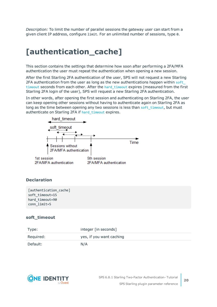*Description:* To limit the number of parallel sessions the gateway user can start from a given client IP address, configure limit. For an unlimited number of sessions, type 0.

### <span id="page-19-0"></span>**[authentication\_cache]**

This section contains the settings that determine how soon after performing a 2FA/MFA authentication the user must repeat the authentication when opening a new session.

After the first Starling 2FA authentication of the user, SPS will not request a new Starling 2FA authentication from the user as long as the new authentications happen within [soft\\_](#page-19-1) [timeout](#page-19-1) seconds from each other. After the hard timeout expires (measured from the first Starling 2FA login of the user), SPS will request a new Starling 2FA authentication.

In other words, after opening the first session and authenticating on Starling 2FA, the user can keep opening other sessions without having to authenticate again on Starling 2FA as long as the time between opening any two sessions is less than soft timeout, but must authenticate on Starling 2FA if [hard\\_timeout](#page-20-1) expires.



#### **Declaration**

```
[authentication_cache]
soft_timeout=15
hard_timeout=90
conn_limit=5
```
#### <span id="page-19-1"></span>**soft\_timeout**

| Type:     | integer [in seconds]     |
|-----------|--------------------------|
| Required: | yes, if you want caching |
| Default:  | N/A                      |

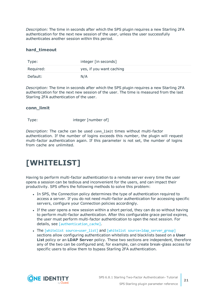*Description:* The time in seconds after which the SPS plugin requires a new Starling 2FA authentication for the next new session of the user, unless the user successfully authenticates another session within this period.

#### <span id="page-20-1"></span>**hard\_timeout**

| Type:     | integer [in seconds]     |
|-----------|--------------------------|
| Required: | yes, if you want caching |
| Default:  | N/A                      |

*Description:* The time in seconds after which the SPS plugin requires a new Starling 2FA authentication for the next new session of the user. The time is measured from the last Starling 2FA authentication of the user.

#### **conn\_limit**

Type: Type: integer [number of]

*Description:* The cache can be used conn\_limit times without multi-factor authentication. If the number of logins exceeds this number, the plugin will request multi-factor authentication again. If this parameter is not set, the number of logins from cache are unlimited.

### <span id="page-20-0"></span>**[WHITELIST]**

Having to perform multi-factor authentication to a remote server every time the user opens a session can be tedious and inconvenient for the users, and can impact their productivity. SPS offers the following methods to solve this problem:

- In SPS, the Connection policy determines the type of authentication required to access a server. If you do not need multi-factor authentication for accessing specific servers, configure your Connection policies accordingly.
- If the user opens a new session within a short period, they can do so without having to perform multi-factor authentication. After this configurable grace period expires, the user must perform multi-factor authentication to open the next session. For details, see [authentication cache].
- The [whitelist source=user list] and [whitelist source=ldap server group] sections allow configuring authentication whitelists and blacklists based on a **User List** policy or an **LDAP Server** policy. These two sections are independent, therefore any of the two can be configured and, for example, can create break-glass access for specific users to allow them to bypass Starling 2FA authentication.

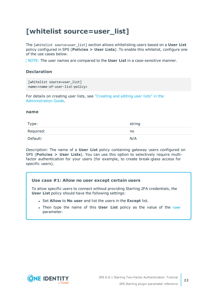### <span id="page-21-0"></span>**[whitelist source=user\_list]**

The [whitelist source=user\_list] section allows whitelisting users based on a **User List** policy configured in SPS (**Policies > User Lists**). To enable this whitelist, configure one of the use cases below.

NOTE: The user names are compared to the **User List** in a case-sensitive manner.

#### **Declaration**

```
[whitelist source=user list]
name=<name-of-user-list-policy>
```
For details on creating user lists, see ["Creating](https://support.oneidentity.com/technical-documents/safeguard-for-privileged-sessions/6.8.1/administration-guide/general-connection-settings/creating-and-editing-user-lists/) and editing user lists" in the [Administration](https://support.oneidentity.com/technical-documents/safeguard-for-privileged-sessions/6.8.1/administration-guide/general-connection-settings/creating-and-editing-user-lists/) Guide.

#### <span id="page-21-1"></span>**name**

| Type:     | string |
|-----------|--------|
| Required: | no     |
| Default:  | N/A    |

*Description:* The name of a **User List** policy containing gateway users configured on SPS (**Policies > User Lists**). You can use this option to selectively require multifactor authentication for your users (for example, to create break-glass access for specific users).

#### **Use case #1: Allow no user except certain users**

To allow specific users to connect without providing Starling 2FA credentials, the **User List** policy should have the following settings:

- <sup>l</sup> Set **Allow** to **No user** and list the users in the **Except** list.
- **.** Then type the [name](#page-21-1) of this **User List** policy as the value of the name parameter.

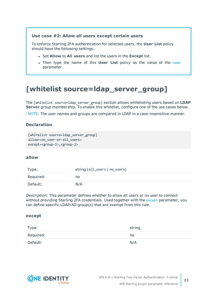#### **Use case #2: Allow all users except certain users**

To enforce Starling 2FA authentication for selected users, the **User List** policy should have the following settings:

- <sup>l</sup> Set **Allow** to **All users** and list the users in the **Except** list.
- **.** Then type the [name](#page-21-1) of this **User List** policy as the value of the name parameter.

### <span id="page-22-0"></span>**[whitelist source=ldap\_server\_group]**

The [whitelist source=ldap\_server\_group] section allows whitelisting users based on **LDAP Server** group membership. To enable this whitelist, configure one of the use cases below.

NOTE: The user names and groups are compared in LDAP in a case-insensitive manner.

#### **Declaration**

```
[whitelist source=1dap server group]
allow=<no user-or-all users>
except=<group-1>,<group-2>
```
#### <span id="page-22-2"></span>**allow**

| Type:     | string (all_users   no_users) |
|-----------|-------------------------------|
| Required: | no                            |
| Default:  | N/A                           |

*Description:* This parameter defines whether to allow all users or no user to connect without providing Starling 2FA credentials. Used together with the [except](#page-22-1) parameter, you can define specific LDAP/AD group(s) that are exempt from this rule.

#### <span id="page-22-1"></span>**except**

| Type:     | string |
|-----------|--------|
| Required: | no     |
| Default:  | N/A    |

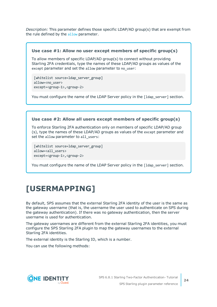*Description:* This parameter defines those specific LDAP/AD group(s) that are exempt from the rule defined by the [allow](#page-22-2) parameter.

#### **Use case #1: Allow no user except members of specific group(s)**

To allow members of specific LDAP/AD group(s) to connect without providing Starling 2FA credentials, type the names of these LDAP/AD groups as values of the except parameter and set the allow parameter to no\_user:

[whitelist source=ldap server group] allow=<no\_user> except=<group-1>,<group-2>

You must configure the name of the LDAP Server policy in the [1dap\_server] section.

#### **Use case #2: Allow all users except members of specific group(s)**

To enforce Starling 2FA authentication only on members of specific LDAP/AD group (s), type the names of these LDAP/AD groups as values of the except parameter and set the allow parameter to all users:

[whitelist source=ldap server group] allow=<all users> except=<group-1>,<group-2>

You must configure the name of the LDAP Server policy in the [1dap\_server] section.

### <span id="page-23-0"></span>**[USERMAPPING]**

By default, SPS assumes that the external Starling 2FA identity of the user is the same as the gateway username (that is, the username the user used to authenticate on SPS during the gateway authentication). If there was no gateway authentication, then the server username is used for authentication.

The gateway usernames are different from the external Starling 2FA identities, you must configure the SPS Starling 2FA plugin to map the gateway usernames to the external Starling 2FA identities.

The external identity is the Starling ID, which is a number.

You can use the following methods:

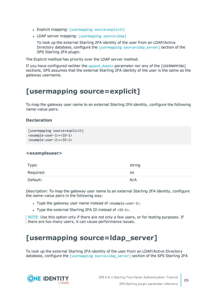- Explicit mapping: [usermapping [source=explicit\]](#page-24-0)
- LDAP server mapping: [\[usermapping](#page-24-1) source=ldap]

To look up the external Starling 2FA identity of the user from an LDAP/Active Directory database, configure the [usermapping [source=ldap\\_server\]](#page-24-1) section of the SPS Starling 2FA plugin.

The Explicit method has priority over the LDAP server method.

If you have configured neither the append domain parameter nor any of the [USERMAPPING] sections, SPS assumes that the external Starling 2FA identity of the user is the same as the gateway username.

### <span id="page-24-0"></span>**[usermapping source=explicit]**

To map the gateway user name to an external Starling 2FA identity, configure the following name-value pairs.

#### **Declaration**

```
[usermapping source=explicit]
<example-user-1>=<ID-1>
<example-user-2>=<ID-2>
```
#### **<exampleuser>**

| Type:     | string |
|-----------|--------|
| Required: | no     |
| Default:  | N/A    |

*Description:* To map the gateway user name to an external Starling 2FA identity, configure the name-value pairs in the following way:

- Type the gateway user name instead of  $\langle$ example-user-1>.
- Type the external Starling 2FA ID instead of  $\langle$ ID-1>.

NOTE: Use this option only if there are not only a few users, or for testing purposes. If there are too many users, it can cause performance issues.

### <span id="page-24-1"></span>**[usermapping source=ldap\_server]**

To look up the external Starling 2FA identity of the user from an LDAP/Active Directory database, configure the [usermapping source=1dap server] section of the SPS Starling 2FA

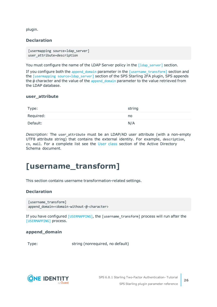plugin.

#### **Declaration**

```
[usermapping source=ldap server]
user_attribute=description
```
You must configure the name of the LDAP Server policy in the [1dap\_server] section.

If you configure both the [append\\_domain](#page-25-1) parameter in the [\[username\\_transform\]](#page-25-0) section and the [usermapping source=1dap\_server] section of the SPS Starling 2FA plugin, SPS appends the @ character and the value of the [append\\_domain](#page-25-1) parameter to the value retrieved from the LDAP database.

#### **user\_attribute**

| Type:     | string |
|-----------|--------|
| Required: | no     |
| Default:  | N/A    |

*Description:* The user attribute must be an LDAP/AD user attribute (with a non-empty UTF8 attribute string) that contains the external identity. For example, description, cn, mail. For a complete list see the User [class](https://docs.microsoft.com/en-gb/windows/desktop/ADSchema/c-user) section of the Active Directory Schema document.

### <span id="page-25-0"></span>**[username\_transform]**

This section contains username transformation-related settings.

#### **Declaration**

```
[username transform]
append_domain=<domain-without-@-character>
```
If you have configured [\[USERMAPPING\]](#page-23-0), the [username\_transform] process will run after the [\[USERMAPPING\]](#page-23-0) process.

#### <span id="page-25-1"></span>**append\_domain**

Type: string (nonrequired, no default)

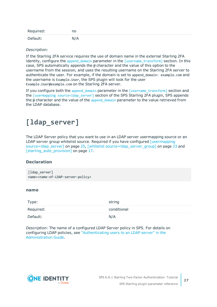| Required: | no  |
|-----------|-----|
| Default:  | N/A |

#### *Description:*

If the Starling 2FA service requires the use of domain name in the external Starling 2FA identity, configure the append domain parameter in the [\[username\\_transform\]](#page-25-0) section. In this case, SPS automatically appends the @ character and the value of this option to the username from the session, and uses the resulting username on the Starling 2FA server to authenticate the user. For example, if the domain is set to append\_domain: example.com and the username is Example.User, the SPS plugin will look for the user Example.User@example.com on the Starling 2FA server.

If you configure both the append domain parameter in the  $[$ username transform] section and the [usermapping source=1dap\_server] section of the SPS Starling 2FA plugin, SPS appends the  $\omega$  character and the value of the append domain parameter to the value retrieved from the LDAP database.

### <span id="page-26-0"></span>**[ldap\_server]**

The LDAP Server policy that you want to use in an LDAP server usermapping source or an LDAP server group whitelist source. Required if you have configured [\[usermapping](#page-24-1)] source=Idap\_server] on page 25, [whitelist source=Idap\_server\_group] on page 23 and [\[starling\\_auto\\_provision\]](#page-16-0) on page 17.

#### **Declaration**

[ldap\_server] name=<name-of-LDAP-server-policy>

#### **name**

| Type:     | string      |
|-----------|-------------|
| Required: | conditional |
| Default:  | N/A         |

*Description:* The name of a configured LDAP Server policy in SPS. For details on configuring LDAP policies, see ["Authenticating](https://support.oneidentity.com/technical-documents/safeguard-for-privileged-sessions/6.8.1/administration-guide/general-connection-settings/authenticating-users-to-an-ldap-server/) users to an LDAP server" in the [Administration](https://support.oneidentity.com/technical-documents/safeguard-for-privileged-sessions/6.8.1/administration-guide/general-connection-settings/authenticating-users-to-an-ldap-server/) Guide.

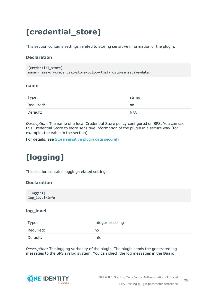# <span id="page-27-0"></span>**[credential\_store]**

This section contains settings related to storing sensitive information of the plugin.

#### **Declaration**

```
[credential store]
name=<name-of-credential-store-policy-that-hosts-sensitive-data>
```
#### <span id="page-27-2"></span>**name**

| Type:     | string |
|-----------|--------|
| Required: | no     |
| Default:  | N/A    |

*Description:* The name of a local Credential Store policy configured on SPS. You can use this Credential Store to store sensitive information of the plugin in a secure way (for example, the value in the section).

<span id="page-27-1"></span>For details, see Store [sensitive](#page-31-0) plugin data securely.

# **[logging]**

This section contains logging-related settings.

#### **Declaration**

[logging] log\_level=info

#### **log\_level**

| Type:     | integer or string |
|-----------|-------------------|
| Required: | no                |
| Default:  | info              |

*Description:* The logging verbosity of the plugin. The plugin sends the generated log messages to the SPS syslog system. You can check the log messages in the **Basic**

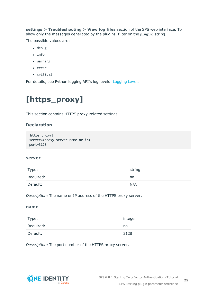**settings > Troubleshooting > View log files** section of the SPS web interface. To show only the messages generated by the plugins, filter on the plugin: string.

The possible values are:

- $\cdot$  debug
- info
- $\bullet$  warning
- $\cdot$  error
- critical

<span id="page-28-0"></span>For details, see Python logging API's log levels: [Logging](https://docs.python.org/2/library/logging.html#logging-levels) Levels.

## **[https\_proxy]**

This section contains HTTPS proxy-related settings.

#### **Declaration**

```
[https_proxy]
server=<proxy-server-name-or-ip>
port=3128
```
#### **server**

| Type:     | string |
|-----------|--------|
| Required: | no     |
| Default:  | N/A    |

*Description:* The name or IP address of the HTTPS proxy server.

#### **name**

| Type:     | integer |
|-----------|---------|
| Required: | no      |
| Default:  | 3128    |

*Description:* The port number of the HTTPS proxy server.

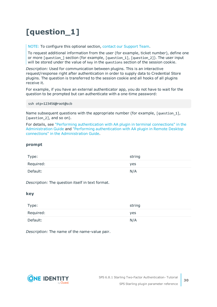# <span id="page-29-0"></span>**[question\_1]**

NOTE: To configure this optional section, contact our [Support](https://support.oneidentity.com/one-identity-safeguard-for-privileged-sessions) Team.

To request additional information from the user (for example, ticket number), define one or more [question\_] section (for example, [question\_1], [question\_2]). The user input will be stored under the value of key in the questions section of the session cookie.

*Description:* Used for communication between plugins. This is an interactive request/response right after authentication in order to supply data to Credential Store plugins. The question is transferred to the session cookie and all hooks of all plugins receive it.

For example, if you have an external authenticator app, you do not have to wait for the question to be prompted but can authenticate with a one-time password:

ssh otp=123456@root@scb

Name subsequent questions with the appropriate number (for example, [question 1], [question 2], and so on).

For details, see "Performing [authentication](https://support.oneidentity.com/technical-documents/safeguard-for-privileged-sessions/6.8.1/administration-guide/advanced-authentication-and-authorization-techniques/integrating-external-authentication-and-authorization-systems/performing-authentication-with-aa-plugin-in-terminal-connections/) with AA plugin in terminal connections" in the [Administration](https://support.oneidentity.com/technical-documents/safeguard-for-privileged-sessions/6.8.1/administration-guide/advanced-authentication-and-authorization-techniques/integrating-external-authentication-and-authorization-systems/performing-authentication-with-aa-plugin-in-terminal-connections/) Guide and "Performing [authentication](https://support.oneidentity.com/technical-documents/safeguard-for-privileged-sessions/6.8.1/administration-guide/advanced-authentication-and-authorization-techniques/integrating-external-authentication-and-authorization-systems/performing-authentication-with-aa-plugin-in-remote-desktop-connections/) with AA plugin in Remote Desktop connections" in the [Administration](https://support.oneidentity.com/technical-documents/safeguard-for-privileged-sessions/6.8.1/administration-guide/advanced-authentication-and-authorization-techniques/integrating-external-authentication-and-authorization-systems/performing-authentication-with-aa-plugin-in-remote-desktop-connections/) Guide.

#### **prompt**

| Type:     | string |
|-----------|--------|
| Required: | yes    |
| Default:  | N/A    |

*Description:* The question itself in text format.

#### **key**

| Type:     | string |
|-----------|--------|
| Required: | yes    |
| Default:  | N/A    |

*Description:* The name of the name-value pair.

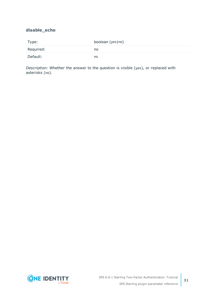#### **disable\_echo**

| Type:     | boolean (yes no) |
|-----------|------------------|
| Required: | no.              |
| Default:  | no               |

*Description:* Whether the answer to the question is visible (yes), or replaced with asterisks (no).

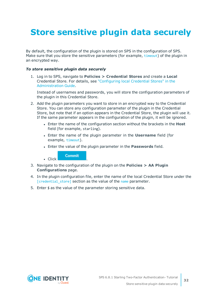# <span id="page-31-0"></span>**Store sensitive plugin data securely**

By default, the configuration of the plugin is stored on SPS in the configuration of SPS. Make sure that you store the sensitive parameters (for example, [timeout](#page-14-0)) of the plugin in an encrypted way.

#### *To store sensitive plugin data securely*

1. Log in to SPS, navigate to **Policies > Credential Stores** and create a **Local** Credential Store. For details, see ["Configuring](https://support.oneidentity.com/technical-documents/safeguard-for-privileged-sessions/6.8.1/administration-guide/advanced-authentication-and-authorization-techniques/using-credential-stores-for-server-side-authentication/configuring-local-credential-stores/) local Credential Stores" in the [Administration](https://support.oneidentity.com/technical-documents/safeguard-for-privileged-sessions/6.8.1/administration-guide/advanced-authentication-and-authorization-techniques/using-credential-stores-for-server-side-authentication/configuring-local-credential-stores/) Guide.

Instead of usernames and passwords, you will store the configuration parameters of the plugin in this Credential Store.

- 2. Add the plugin parameters you want to store in an encrypted way to the Credential Store. You can store any configuration parameter of the plugin in the Credential Store, but note that if an option appears in the Credential Store, the plugin will use it. If the same parameter appears in the configuration of the plugin, it will be ignored.
	- **.** Enter the name of the configuration section without the brackets in the Host field (for example, starling).
	- <sup>l</sup> Enter the name of the plugin parameter in the **Username** field (for example, [timeout](#page-14-0)).
	- <sup>l</sup> Enter the value of the plugin parameter in the **Passwords** field.

**Commit** 

 $\blacksquare$  Click

- 3. Navigate to the configuration of the plugin on the **Policies > AA Plugin Configurations** page.
- 4. In the plugin configuration file, enter the name of the local Credential Store under the [\[credential\\_store\]](#page-27-0) section as the value of the [name](#page-27-2) parameter.
- 5. Enter  $$$  as the value of the parameter storing sensitive data.

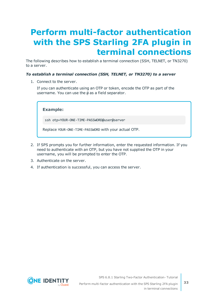# <span id="page-32-0"></span>**Perform multi-factor authentication with the SPS Starling 2FA plugin in terminal connections**

The following describes how to establish a terminal connection (SSH, TELNET, or TN3270) to a server.

#### *To establish a terminal connection (SSH, TELNET, or TN3270) to a server*

1. Connect to the server.

If you can authenticate using an OTP or token, encode the OTP as part of the username. You can use the @ as a field separator.

**Example:**

ssh otp=YOUR-ONE-TIME-PASSWORD@user@server

Replace YOUR-ONE-TIME-PASSWORD with your actual OTP.

- 2. If SPS prompts you for further information, enter the requested information. If you need to authenticate with an OTP, but you have not supplied the OTP in your username, you will be prompted to enter the OTP.
- 3. Authenticate on the server.
- 4. If authentication is successful, you can access the server.



SPS 6.8.1 Starling Two-Factor Authentication- Tutorial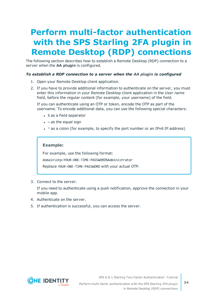# <span id="page-33-0"></span>**Perform multi-factor authentication with the SPS Starling 2FA plugin in Remote Desktop (RDP) connections**

The following section describes how to establish a Remote Desktop (RDP) connection to a server when the **AA plugin** is configured.

#### *To establish a RDP connection to a server when the AA plugin is configured*

- 1. Open your Remote Desktop client application.
- 2. If you have to provide additional information to authenticate on the server, you must enter this information in your Remote Desktop client application in the *User name* field, before the regular content (for example, your username) of the field.

If you can authenticate using an OTP or token, encode the OTP as part of the username. To encode additional data, you can use the following special characters:

- % as a field separator
- $\bullet$  ~ as the equal sign
- $\cdot$  ^ as a colon (for example, to specify the port number or an IPv6 IP address)

#### **Example:**

For example, use the following format:

domain\otp~YOUR-ONE-TIME-PASSWORD%Administrator

Replace YOUR-ONE-TIME-PASSWORD with your actual OTP.

3. Connect to the server.

If you need to authenticate using a push notification, approve the connection in your mobile app.

- 4. Authenticate on the server.
- 5. If authentication is successful, you can access the server.



SPS 6.8.1 Starling Two-Factor Authentication- Tutorial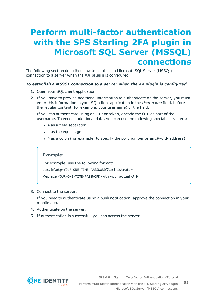## <span id="page-34-0"></span>**Perform multi-factor authentication with the SPS Starling 2FA plugin in Microsoft SQL Server (MSSQL) connections**

The following section describes how to establish a Microsoft SQL Server (MSSQL) connection to a server when the **AA plugin** is configured.

#### *To establish a MSSQL connection to a server when the AA plugin is configured*

- 1. Open your SQL client application.
- 2. If you have to provide additional information to authenticate on the server, you must enter this information in your SQL client application in the *User name* field, before the regular content (for example, your username) of the field.

If you can authenticate using an OTP or token, encode the OTP as part of the username. To encode additional data, you can use the following special characters:

- % as a field separator
- $\bullet$  ~ as the equal sign
- $\cdot$  ^ as a colon (for example, to specify the port number or an IPv6 IP address)

#### **Example:**

For example, use the following format: domain\otp~YOUR-ONE-TIME-PASSWORD%Administrator

Replace YOUR-ONE-TIME-PASSWORD with your actual OTP.

3. Connect to the server.

If you need to authenticate using a push notification, approve the connection in your mobile app.

- 4. Authenticate on the server.
- 5. If authentication is successful, you can access the server.



SPS 6.8.1 Starling Two-Factor Authentication- Tutorial